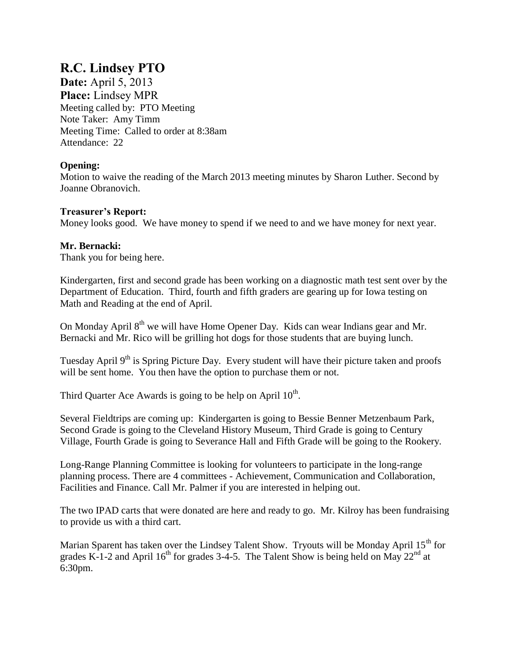# **R.C. Lindsey PTO**

**Date:** April 5, 2013 **Place:** Lindsey MPR Meeting called by: PTO Meeting Note Taker: Amy Timm Meeting Time: Called to order at 8:38am Attendance: 22

## **Opening:**

Motion to waive the reading of the March 2013 meeting minutes by Sharon Luther. Second by Joanne Obranovich.

### **Treasurer's Report:**

Money looks good. We have money to spend if we need to and we have money for next year.

## **Mr. Bernacki:**

Thank you for being here.

Kindergarten, first and second grade has been working on a diagnostic math test sent over by the Department of Education. Third, fourth and fifth graders are gearing up for Iowa testing on Math and Reading at the end of April.

On Monday April 8<sup>th</sup> we will have Home Opener Day. Kids can wear Indians gear and Mr. Bernacki and Mr. Rico will be grilling hot dogs for those students that are buying lunch.

Tuesday April  $9<sup>th</sup>$  is Spring Picture Day. Every student will have their picture taken and proofs will be sent home. You then have the option to purchase them or not.

Third Quarter Ace Awards is going to be help on April  $10^{th}$ .

Several Fieldtrips are coming up: Kindergarten is going to Bessie Benner Metzenbaum Park, Second Grade is going to the Cleveland History Museum, Third Grade is going to Century Village, Fourth Grade is going to Severance Hall and Fifth Grade will be going to the Rookery.

Long-Range Planning Committee is looking for volunteers to participate in the long-range planning process. There are 4 committees - Achievement, Communication and Collaboration, Facilities and Finance. Call Mr. Palmer if you are interested in helping out.

The two IPAD carts that were donated are here and ready to go. Mr. Kilroy has been fundraising to provide us with a third cart.

Marian Sparent has taken over the Lindsey Talent Show. Tryouts will be Monday April  $15<sup>th</sup>$  for grades K-1-2 and April 16<sup>th</sup> for grades 3-4-5. The Talent Show is being held on May 22<sup>nd</sup> at 6:30pm.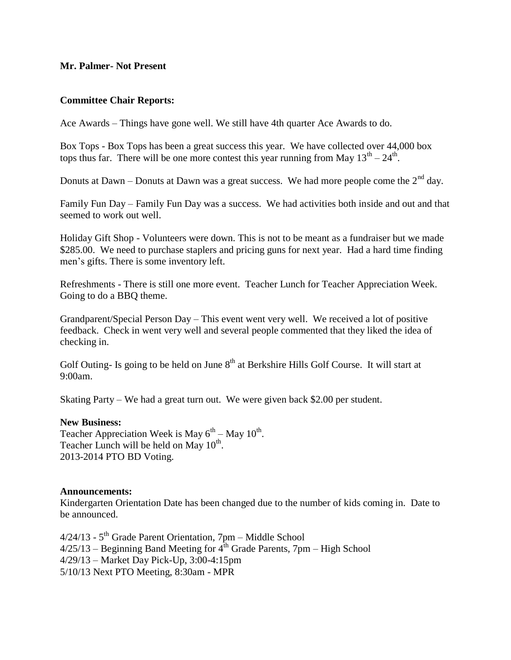#### **Mr. Palmer- Not Present**

#### **Committee Chair Reports:**

Ace Awards – Things have gone well. We still have 4th quarter Ace Awards to do.

Box Tops - Box Tops has been a great success this year. We have collected over 44,000 box tops thus far. There will be one more contest this year running from May  $13<sup>th</sup> - 24<sup>th</sup>$ .

Donuts at Dawn – Donuts at Dawn was a great success. We had more people come the  $2<sup>nd</sup>$  day.

Family Fun Day – Family Fun Day was a success. We had activities both inside and out and that seemed to work out well.

Holiday Gift Shop - Volunteers were down. This is not to be meant as a fundraiser but we made \$285.00. We need to purchase staplers and pricing guns for next year. Had a hard time finding men's gifts. There is some inventory left.

Refreshments - There is still one more event. Teacher Lunch for Teacher Appreciation Week. Going to do a BBQ theme.

Grandparent/Special Person Day – This event went very well. We received a lot of positive feedback. Check in went very well and several people commented that they liked the idea of checking in.

Golf Outing- Is going to be held on June  $8<sup>th</sup>$  at Berkshire Hills Golf Course. It will start at 9:00am.

Skating Party – We had a great turn out. We were given back \$2.00 per student.

#### **New Business:**

Teacher Appreciation Week is May  $6^{th}$  – May  $10^{th}$ . Teacher Lunch will be held on May  $10^{th}$ . 2013-2014 PTO BD Voting.

#### **Announcements:**

Kindergarten Orientation Date has been changed due to the number of kids coming in. Date to be announced.

4/24/13 - 5<sup>th</sup> Grade Parent Orientation, 7pm – Middle School  $4/25/13$  – Beginning Band Meeting for  $4<sup>th</sup>$  Grade Parents, 7pm – High School 4/29/13 – Market Day Pick-Up, 3:00-4:15pm 5/10/13 Next PTO Meeting, 8:30am - MPR